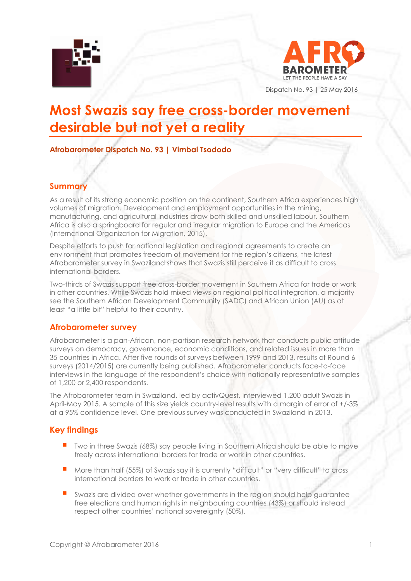



Dispatch No. 93 | 25 May 2016

# **Most Swazis say free cross-border movement desirable but not yet a reality**

## **Afrobarometer Dispatch No. 93 | Vimbai Tsododo**

### **Summary**

As a result of its strong economic position on the continent, Southern Africa experiences high volumes of migration. Development and employment opportunities in the mining, manufacturing, and agricultural industries draw both skilled and unskilled labour. Southern Africa is also a springboard for regular and irregular migration to Europe and the Americas (International Organization for Migration, 2015).

Despite efforts to push for national legislation and regional agreements to create an environment that promotes freedom of movement for the region's citizens, the latest Afrobarometer survey in Swaziland shows that Swazis still perceive it as difficult to cross international borders.

Two-thirds of Swazis support free cross-border movement in Southern Africa for trade or work in other countries. While Swazis hold mixed views on regional political integration, a majority see the Southern African Development Community (SADC) and African Union (AU) as at least "a little bit" helpful to their country.

### **Afrobarometer survey**

Afrobarometer is a pan-African, non-partisan research network that conducts public attitude surveys on democracy, governance, economic conditions, and related issues in more than 35 countries in Africa. After five rounds of surveys between 1999 and 2013, results of Round 6 surveys (2014/2015) are currently being published. Afrobarometer conducts face-to-face interviews in the language of the respondent's choice with nationally representative samples of 1,200 or 2,400 respondents.

The Afrobarometer team in Swaziland, led by activQuest, interviewed 1,200 adult Swazis in April-May 2015. A sample of this size yields country-level results with a margin of error of +/-3% at a 95% confidence level. One previous survey was conducted in Swaziland in 2013.

# **Key findings**

- Two in three Swazis (68%) say people living in Southern Africa should be able to move freely across international borders for trade or work in other countries.
- More than half (55%) of Swazis say it is currently "difficult" or "very difficult" to cross international borders to work or trade in other countries.
- Swazis are divided over whether governments in the region should help guarantee free elections and human rights in neighbouring countries (43%) or should instead respect other countries' national sovereignty (50%).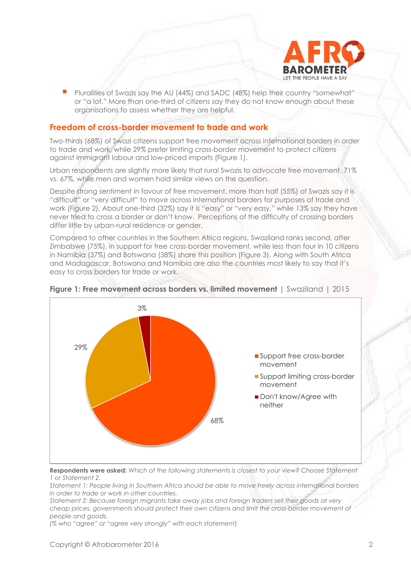

 Pluralities of Swazis say the AU (44%) and SADC (48%) help their country "somewhat" or "a lot." More than one-third of citizens say they do not know enough about these organisations to assess whether they are helpful.

### **Freedom of cross-border movement to trade and work**

Two-thirds (68%) of Swazi citizens support free movement across international borders in order to trade and work, while 29% prefer limiting cross-border movement to protect citizens against immigrant labour and low-priced imports (Figure 1).

Urban respondents are slightly more likely that rural Swazis to advocate free movement, 71% vs. 67%, while men and women hold similar views on the question.

Despite strong sentiment in favour of free movement, more than half (55%) of Swazis say it is "difficult" or "very difficult" to move across international borders for purposes of trade and work (Figure 2). About one-third (32%) say it is "easy" or "very easy," while 13% say they have never tried to cross a border or don't know. Perceptions of the difficulty of crossing borders differ little by urban-rural residence or gender.

Compared to other countries in the Southern Africa regions, Swaziland ranks second, after Zimbabwe (75%), in support for free cross-border movement, while less than four in 10 citizens in Namibia (37%) and Botswana (38%) share this position (Figure 3). Along with South Africa and Madagascar, Botswana and Namibia are also the countries most likely to say that it's easy to cross borders for trade or work.



### **Figure 1: Free movement across borders vs. limited movement** | Swaziland | 2015

**Respondents were asked:** *Which of the following statements is closest to your view? Choose Statement 1 or Statement 2.* 

*Statement 1: People living in Southern Africa should be able to move freely across international borders in order to trade or work in other countries.* 

*Statement 2: Because foreign migrants take away jobs and foreign traders sell their goods at very cheap prices, governments should protect their own citizens and limit the cross-border movement of people and goods.*

*(% who "agree" or "agree very strongly" with each statement)*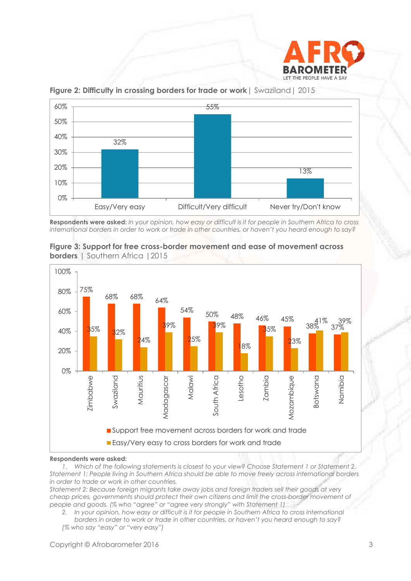



**Figure 2: Difficulty in crossing borders for trade or work**| Swaziland| 2015

**Respondents were asked:** *In your opinion, how easy or difficult is it for people in Southern Africa to cross international borders in order to work or trade in other countries, or haven't you heard enough to say?* 





#### **Respondents were asked:**

*1. Which of the following statements is closest to your view? Choose Statement 1 or Statement 2. Statement 1: People living in Southern Africa should be able to move freely across international borders in order to trade or work in other countries.* 

*Statement 2: Because foreign migrants take away jobs and foreign traders sell their goods at very cheap prices, governments should protect their own citizens and limit the cross-border movement of people and goods. (% who "agree" or "agree very strongly" with Statement 1)*

*2. In your opinion, how easy or difficult is it for people in Southern Africa to cross international borders in order to work or trade in other countries, or haven't you heard enough to say? (% who say "easy" or "very easy")*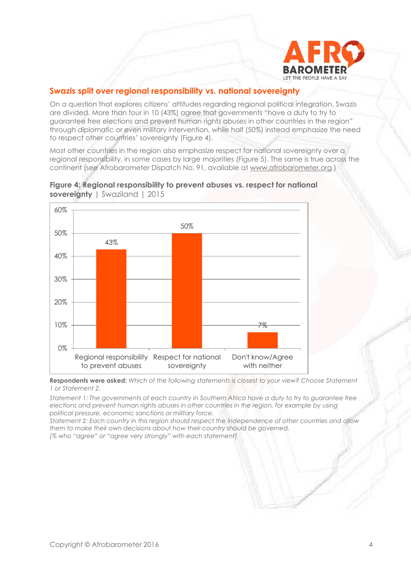

# **Swazis split over regional responsibility vs. national sovereignty**

On a question that explores citizens' attitudes regarding regional political integration, Swazis are divided. More than four in 10 (43%) agree that governments "have a duty to try to guarantee free elections and prevent human rights abuses in other countries in the region" through diplomatic or even military intervention, while half (50%) instead emphasize the need to respect other countries' sovereignty (Figure 4).

Most other countries in the region also emphasize respect for national sovereignty over a regional responsibility, in some cases by large majorities (Figure 5). The same is true across the continent (see Afrobarometer Dispatch No. 91, available at [www.afrobarometer.org.](http://www.afrobarometer.org/))



**Figure 4: Regional responsibility to prevent abuses vs. respect for national sovereignty** | Swaziland | 2015

**Respondents were asked:** *Which of the following statements is closest to your view? Choose Statement 1 or Statement 2.* 

*Statement 1: The governments of each country in Southern Africa have a duty to try to guarantee free elections and prevent human rights abuses in other countries in the region, for example by using political pressure, economic sanctions or military force.* 

*Statement 2: Each country in this region should respect the independence of other countries and allow them to make their own decisions about how their country should be governed.*

*(% who "agree" or "agree very strongly" with each statement)*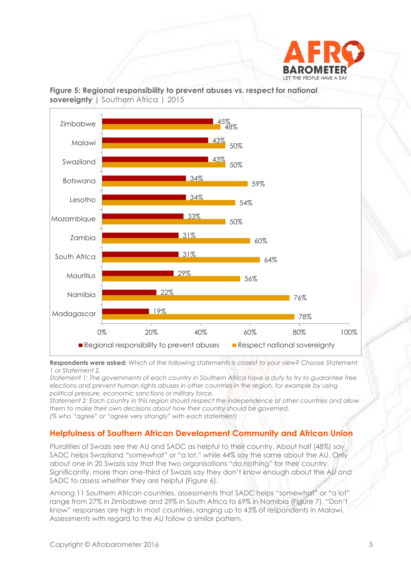



### **Figure 5: Regional responsibility to prevent abuses vs. respect for national sovereignty** | Southern Africa | 2015

**Respondents were asked:** *Which of the following statements is closest to your view? Choose Statement 1 or Statement 2.* 

*Statement 1: The governments of each country in Southern Africa have a duty to try to guarantee free elections and prevent human rights abuses in other countries in the region, for example by using political pressure, economic sanctions or military force.* 

*Statement 2: Each country in this region should respect the independence of other countries and allow them to make their own decisions about how their country should be governed. (% who "agree" or "agree very strongly" with each statement)*

# **Helpfulness of Southern African Development Community and African Union**

Pluralities of Swazis see the AU and SADC as helpful to their country. About half (48%) say SADC helps Swaziland "somewhat" or "a lot," while 44% say the same about the AU. Only about one in 20 Swazis say that the two organisations "do nothing" for their country. Significantly, more than one-third of Swazis say they don't know enough about the AU and SADC to assess whether they are helpful (Figure 6).

Among 11 Southern African countries, assessments that SADC helps "somewhat" or "a lot" range from 27% in Zimbabwe and 29% in South Africa to 69% in Namibia (Figure 7). "Don't know" responses are high in most countries, ranging up to 43% of respondents in Malawi. Assessments with regard to the AU follow a similar pattern.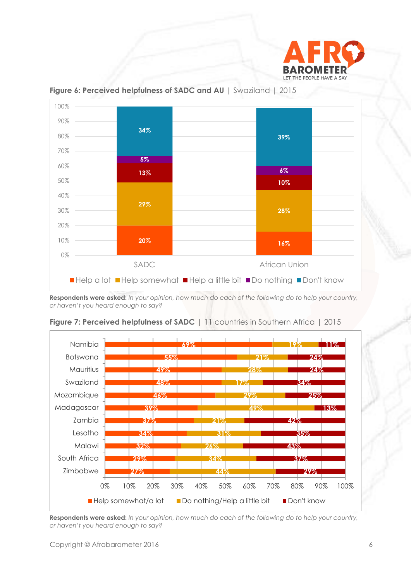



### **Figure 6: Perceived helpfulness of SADC and AU** | Swaziland | 2015

**Respondents were asked:** *In your opinion, how much do each of the following do to help your country, or haven't you heard enough to say?*



**Figure 7: Perceived helpfulness of SADC** | 11 countries in Southern Africa | 2015

**Respondents were asked:** *In your opinion, how much do each of the following do to help your country, or haven't you heard enough to say?*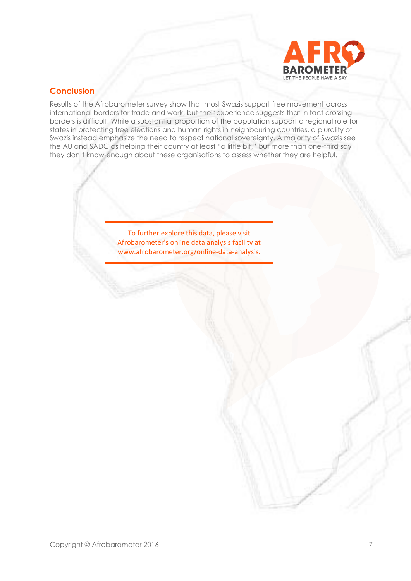

# **Conclusion**

Results of the Afrobarometer survey show that most Swazis support free movement across international borders for trade and work, but their experience suggests that in fact crossing borders is difficult. While a substantial proportion of the population support a regional role for states in protecting free elections and human rights in neighbouring countries, a plurality of Swazis instead emphasize the need to respect national sovereignty. A majority of Swazis see the AU and SADC as helping their country at least "a little bit," but more than one-third say they don't know enough about these organisations to assess whether they are helpful.

> To further explore this data, please visit Afrobarometer's online data analysis facility at www.afrobarometer.org/online-data-analysis.